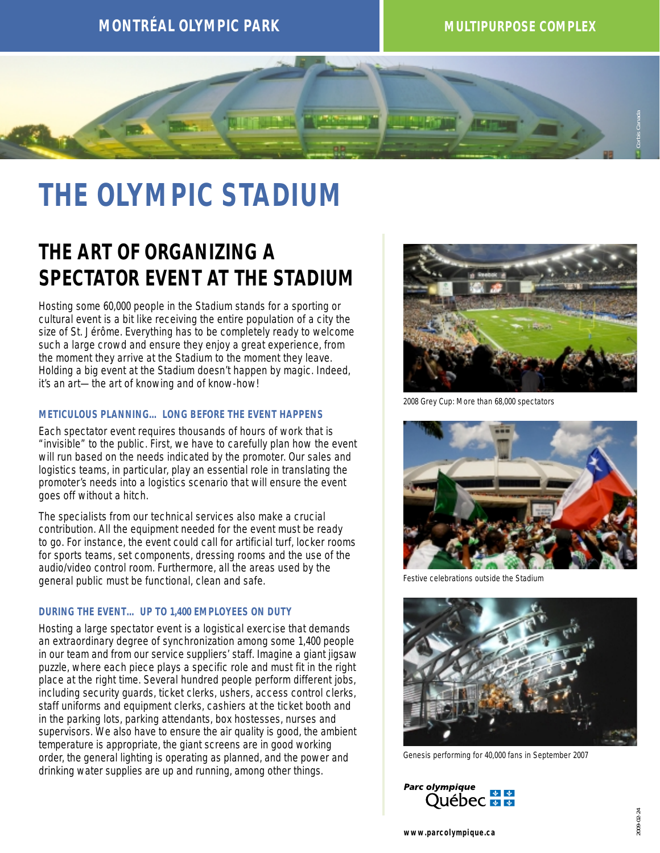

# **THE OLYMPIC STADIUM**

## **THE ART OF ORGANIZING A SPECTATOR EVENT AT THE STADIUM**

Hosting some 60,000 people in the Stadium stands for a sporting or cultural event is a bit like receiving the entire population of a city the size of St. Jérôme. Everything has to be completely ready to welcome such a large crowd and ensure they enjoy a great experience, from the moment they arrive at the Stadium to the moment they leave. Holding a big event at the Stadium doesn't happen by magic. Indeed, it's an art—the art of knowing and of know-how!

### **METICULOUS PLANNING… LONG BEFORE THE EVENT HAPPENS**

Each spectator event requires thousands of hours of work that is "invisible" to the public. First, we have to carefully plan how the event will run based on the needs indicated by the promoter. Our sales and logistics teams, in particular, play an essential role in translating the promoter's needs into a logistics scenario that will ensure the event goes off without a hitch.

The specialists from our technical services also make a crucial contribution. All the equipment needed for the event must be ready to go. For instance, the event could call for artificial turf, locker rooms for sports teams, set components, dressing rooms and the use of the audio/video control room. Furthermore, all the areas used by the general public must be functional, clean and safe.

### **DURING THE EVENT… UP TO 1,400 EMPLOYEES ON DUTY**

Hosting a large spectator event is a logistical exercise that demands an extraordinary degree of synchronization among some 1,400 people in our team and from our service suppliers' staff. Imagine a giant jigsaw puzzle, where each piece plays a specific role and must fit in the right place at the right time. Several hundred people perform different jobs, including security guards, ticket clerks, ushers, access control clerks, staff uniforms and equipment clerks, cashiers at the ticket booth and in the parking lots, parking attendants, box hostesses, nurses and supervisors. We also have to ensure the air quality is good, the ambient temperature is appropriate, the giant screens are in good working order, the general lighting is operating as planned, and the power and drinking water supplies are up and running, among other things.



2008 Grey Cup: More than 68,000 spectators



Festive celebrations outside the Stadium



Genesis performing for 40,000 fans in September 2007

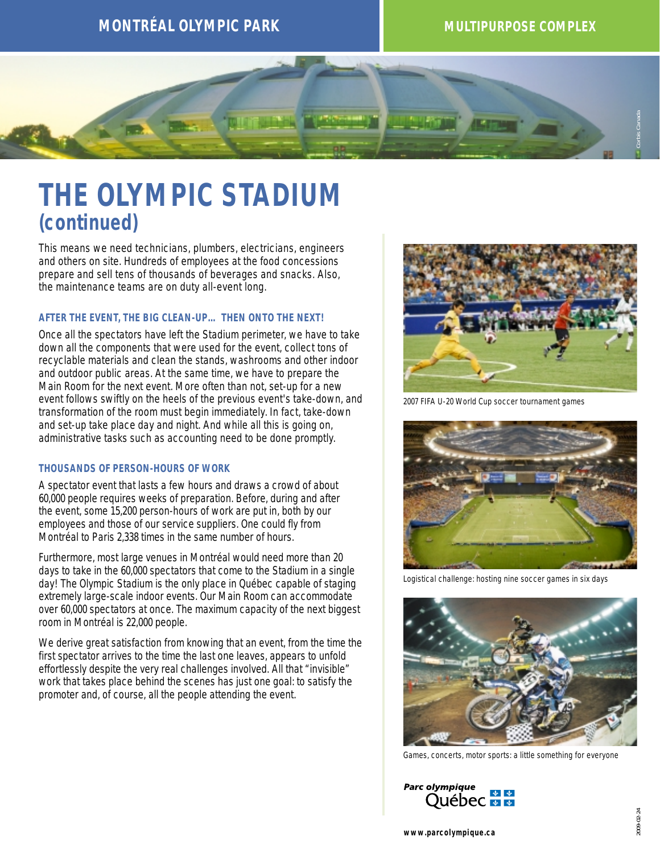

## **THE OLYMPIC STADIUM** *(continued)*

This means we need technicians, plumbers, electricians, engineers and others on site. Hundreds of employees at the food concessions prepare and sell tens of thousands of beverages and snacks. Also, the maintenance teams are on duty all-event long.

#### **AFTER THE EVENT, THE BIG CLEAN-UP… THEN ONTO THE NEXT!**

Once all the spectators have left the Stadium perimeter, we have to take down all the components that were used for the event, collect tons of recyclable materials and clean the stands, washrooms and other indoor and outdoor public areas. At the same time, we have to prepare the Main Room for the next event. More often than not, set-up for a new event follows swiftly on the heels of the previous event's take-down, and transformation of the room must begin immediately. In fact, take-down and set-up take place day and night. And while all this is going on, administrative tasks such as accounting need to be done promptly.

### **THOUSANDS OF PERSON-HOURS OF WORK**

A spectator event that lasts a few hours and draws a crowd of about 60,000 people requires weeks of preparation. Before, during and after the event, some 15,200 person-hours of work are put in, both by our employees and those of our service suppliers. One could fly from Montréal to Paris 2,338 times in the same number of hours.

Furthermore, most large venues in Montréal would need more than 20 days to take in the 60,000 spectators that come to the Stadium in a single day! The Olympic Stadium is the only place in Québec capable of staging extremely large-scale indoor events. Our Main Room can accommodate over 60,000 spectators at once. The maximum capacity of the next biggest room in Montréal is 22,000 people.

We derive great satisfaction from knowing that an event, from the time the first spectator arrives to the time the last one leaves, appears to unfold effortlessly despite the very real challenges involved. All that "invisible" work that takes place behind the scenes has just one goal: to satisfy the promoter and, of course, all the people attending the event.



2007 FIFA U-20 World Cup soccer tournament games



Logistical challenge: hosting nine soccer games in six days



Games, concerts, motor sports: a little something for everyone